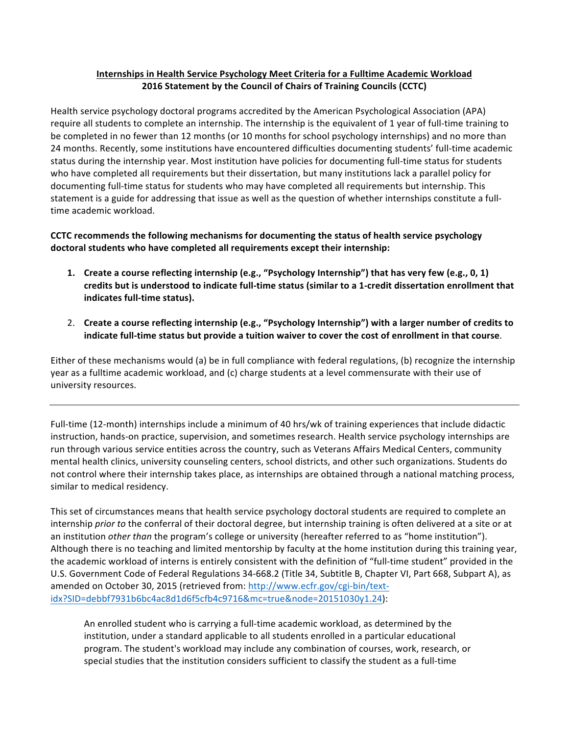## **Internships in Health Service Psychology Meet Criteria for a Fulltime Academic Workload 2016 Statement by the Council of Chairs of Training Councils (CCTC)**

Health service psychology doctoral programs accredited by the American Psychological Association (APA) require all students to complete an internship. The internship is the equivalent of 1 year of full-time training to be completed in no fewer than 12 months (or 10 months for school psychology internships) and no more than 24 months. Recently, some institutions have encountered difficulties documenting students' full-time academic status during the internship year. Most institution have policies for documenting full-time status for students who have completed all requirements but their dissertation, but many institutions lack a parallel policy for documenting full-time status for students who may have completed all requirements but internship. This statement is a guide for addressing that issue as well as the question of whether internships constitute a fulltime academic workload.

## **CCTC** recommends the following mechanisms for documenting the status of health service psychology doctoral students who have completed all requirements except their internship:

- **1.** Create a course reflecting internship (e.g., "Psychology Internship") that has very few (e.g., 0, 1) credits but is understood to indicate full-time status (similar to a 1-credit dissertation enrollment that indicates full-time status).
- 2. Create a course reflecting internship (e.g., "Psychology Internship") with a larger number of credits to indicate full-time status but provide a tuition waiver to cover the cost of enrollment in that course.

Either of these mechanisms would (a) be in full compliance with federal regulations, (b) recognize the internship year as a fulltime academic workload, and (c) charge students at a level commensurate with their use of university resources.

Full-time (12-month) internships include a minimum of 40 hrs/wk of training experiences that include didactic instruction, hands-on practice, supervision, and sometimes research. Health service psychology internships are run through various service entities across the country, such as Veterans Affairs Medical Centers, community mental health clinics, university counseling centers, school districts, and other such organizations. Students do not control where their internship takes place, as internships are obtained through a national matching process, similar to medical residency.

This set of circumstances means that health service psychology doctoral students are required to complete an internship *prior* to the conferral of their doctoral degree, but internship training is often delivered at a site or at an institution *other than* the program's college or university (hereafter referred to as "home institution"). Although there is no teaching and limited mentorship by faculty at the home institution during this training year, the academic workload of interns is entirely consistent with the definition of "full-time student" provided in the U.S. Government Code of Federal Regulations 34-668.2 (Title 34, Subtitle B, Chapter VI, Part 668, Subpart A), as amended on October 30, 2015 (retrieved from: http://www.ecfr.gov/cgi-bin/textidx?SID=debbf7931b6bc4ac8d1d6f5cfb4c9716&mc=true&node=20151030y1.24):

An enrolled student who is carrying a full-time academic workload, as determined by the institution, under a standard applicable to all students enrolled in a particular educational program. The student's workload may include any combination of courses, work, research, or special studies that the institution considers sufficient to classify the student as a full-time